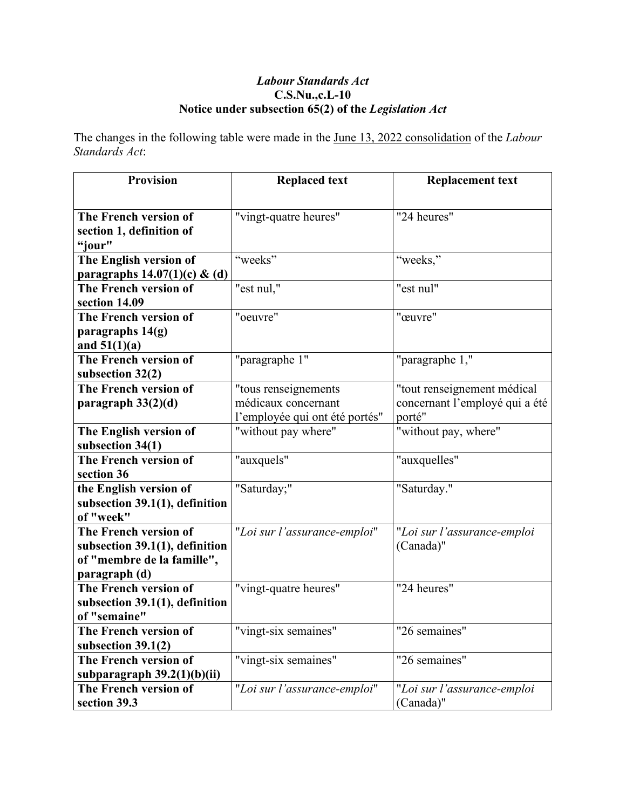## *Labour Standards Act* **C.S.Nu.,c.L-10 Notice under subsection 65(2) of the** *Legislation Act*

The changes in the following table were made in the June 13, 2022 consolidation of the *Labour Standards Act*:

| <b>Provision</b>                                                | <b>Replaced text</b>           | <b>Replacement text</b>        |
|-----------------------------------------------------------------|--------------------------------|--------------------------------|
|                                                                 |                                |                                |
| The French version of                                           | "vingt-quatre heures"          | "24 heures"                    |
| section 1, definition of                                        |                                |                                |
| "jour"                                                          |                                |                                |
| The English version of                                          | "weeks"                        | "weeks,"                       |
| paragraphs $14.07(1)(c)$ & (d)                                  |                                |                                |
| The French version of<br>section 14.09                          | "est nul,"                     | "est nul"                      |
| The French version of                                           | "oeuvre"                       | "œuvre"                        |
| paragraphs 14(g)                                                |                                |                                |
| and $51(1)(a)$                                                  |                                |                                |
| The French version of                                           | "paragraphe 1"                 | "paragraphe 1,"                |
| subsection $32(2)$                                              |                                |                                |
| The French version of                                           | "tous renseignements           | "tout renseignement médical    |
| paragraph $33(2)(d)$                                            | médicaux concernant            | concernant l'employé qui a été |
|                                                                 | l'employée qui ont été portés" | porté"                         |
| The English version of                                          | "without pay where"            | "without pay, where"           |
| subsection 34(1)                                                |                                |                                |
| The French version of                                           | "auxquels"                     | "auxquelles"                   |
| section 36                                                      |                                |                                |
| the English version of                                          | "Saturday;"                    | "Saturday."                    |
| subsection 39.1(1), definition                                  |                                |                                |
| of "week"                                                       |                                |                                |
| The French version of                                           | "Loi sur l'assurance-emploi"   | "Loi sur l'assurance-emploi    |
| subsection $39.1(1)$ , definition<br>of "membre de la famille", |                                | (Canada)"                      |
| paragraph (d)                                                   |                                |                                |
| The French version of                                           | "vingt-quatre heures"          | "24 heures"                    |
| subsection $39.1(1)$ , definition                               |                                |                                |
| of "semaine"                                                    |                                |                                |
| The French version of                                           | "vingt-six semaines"           | "26 semaines"                  |
| subsection $39.1(2)$                                            |                                |                                |
| The French version of                                           | "vingt-six semaines"           | "26 semaines"                  |
| subparagraph $39.2(1)(b)(ii)$                                   |                                |                                |
| The French version of                                           | "Loi sur l'assurance-emploi"   | "Loi sur l'assurance-emploi    |
| section 39.3                                                    |                                | (Canada)"                      |